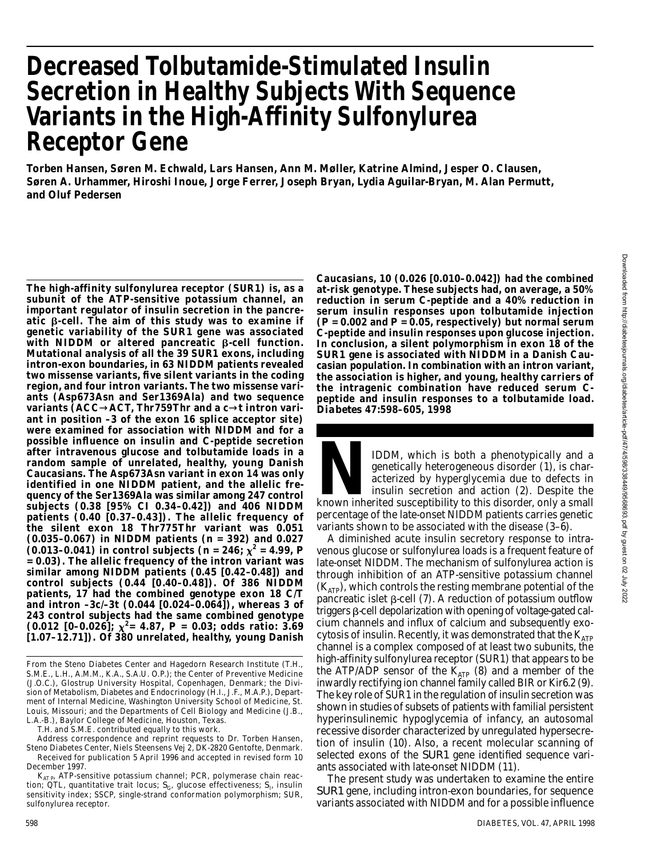# **Decreased Tolbutamide-Stimulated Insulin Secretion in Healthy Subjects With Sequence Variants in the High-Affinity Sulfonylurea Receptor Gene**

**Torben Hansen, Søren M. Echwald, Lars Hansen, Ann M. Møller, Katrine Almind, Jesper O. Clausen, Søren A. Urhammer, Hiroshi Inoue, Jorge Ferrer, Joseph Bryan, Lydia Aguilar-Bryan, M. Alan Permutt, and Oluf Pedersen**

**The high-affinity sulfonylurea receptor (SUR1) is, as a subunit of the ATP-sensitive potassium channel, an important regulator of insulin secretion in the pancre**atic  $\beta$ -cell. The aim of this study was to examine if **genetic variability of the** *S U R 1* **gene was associated**  $with$  NIDDM or altered pancreatic  $\beta$ -cell function. **Mutational analysis of all the 39 SUR1 exons, including intron-exon boundaries, in 63 NIDDM patients revealed two missense variants, five silent variants in the coding region, and four intron variants. The two missense variants (Asp673Asn and Ser1369Ala) and two sequence** variants (ACC ACT, Thr 759 Thr and a c t intron vari**ant in position –3 of the exon 16 splice acceptor site) were examined for association with NIDDM and for a possible influence on insulin and C-peptide secretion after intravenous glucose and tolbutamide loads in a random sample of unrelated, healthy, young Danish Caucasians. The Asp673Asn variant in exon 14 was only identified in one NIDDM patient, and the allelic frequency of the Ser1369Ala was similar among 247 control subjects (0.38 [95% CI 0.34–0.42]) and 406 NIDDM patients (0.40 [0.37–0.43]). The allelic frequency of the silent exon 18 Thr775Thr variant was 0.051 (0.035–0.067) in NIDDM patients (***n* **= 392) and 0.027** (0.013–0.041) in control subjects ( $n = 246$ ;  $\chi^2 = 4.99$ , P **= 0.03). The allelic frequency of the intron variant was similar among NIDDM patients (0.45 [0.42–0.48]) and control subjects (0.44 [0.40–0.48]). Of 386 NIDDM patients, 17 had the combined genotype exon 18 C/T and intron –3c/–3t (0.044 [0.024–0.064]), whereas 3 of 243 control subjects had the same combined genotype (0.012 [0–0.026]; <sup>2</sup>= 4.87,** *P* **= 0.03; odds ratio: 3.69 [1.07–12.71]). Of 380 unrelated, healthy, young Danish**

T.H. and S.M.E. contributed equally to this work.

- Address correspondence and reprint requests to Dr. Torben Hansen, Steno Diabetes Center, Niels Steensens Vej 2, DK-2820 Gentofte, Denmark.
- Received for publication 5 April 1996 and accepted in revised form 10 December 1997. K<sub>AT P</sub>, ATP-sensitive potassium channel; PCR, polymerase chain reac-

**Caucasians, 10 (0.026 [0.010–0.042]) had the combined at-risk genotype. These subjects had, on average, a 50% reduction in serum C-peptide and a 40% reduction in serum insulin responses upon tolbutamide injection (***P* **= 0.002 and** *P* **= 0.05, respectively) but normal serum C-peptide and insulin responses upon glucose injection. In conclusion, a silent polymorphism in exon 18 of the SUR1** gene is associated with NIDDM in a Danish Cau**casian population. In combination with an intron variant, the association is higher, and young, healthy carriers of the intragenic combination have reduced serum Cpeptide and insulin responses to a tolbutamide load.** *D i a b e t e s* **47:598–605, 1998**

**NDDM**, which is both a phenotypically and a genetically heterogeneous disorder (1), is characterized by hyperglycemia due to defects in insulin secretion and action (2). Despite the known inherited susceptibility to this IDDM, which is both a phenotypically and a genetically heterogeneous disorder (1), is characterized by hyperglycemia due to defects in insulin secretion and action (2). Despite the percentage of the late-onset NIDDM patients carries genetic variants shown to be associated with the disease (3–6).

A diminished acute insulin secretory response to intravenous glucose or sulfonylurea loads is a frequent feature of late-onset NIDDM. The mechanism of sulfonylurea action is through inhibition of an ATP-sensitive potassium channel  $(K_{ATD})$ , which controls the resting membrane potential of the pancreatic islet  $\beta$ -cell (7). A reduction of potassium outflow triggers  $\beta$ -cell depolarization with opening of voltage-gated calcium channels and influx of calcium and subsequently exocytosis of insulin. Recently, it was demonstrated that the  $K_{ATP}$ channel is a complex composed of at least two subunits, the high-affinity sulfonylurea receptor (SUR1) that appears to be the ATP/ADP sensor of the  $K_{ATP}$  (8) and a member of the inwardly rectifying ion channel family called BIR or Kir6.2 (9). The key role of SUR1 in the regulation of insulin secretion was shown in studies of subsets of patients with familial persistent hyperinsulinemic hypoglycemia of infancy, an autosomal recessive disorder characterized by unregulated hypersecretion of insulin (10). Also, a recent molecular scanning of selected exons of the *SUR1* gene identified sequence variants associated with late-onset NIDDM (11).

The present study was undertaken to examine the entire *SUR1* gene, including intron-exon boundaries, for sequence variants associated with NIDDM and for a possible influence

From the Steno Diabetes Center and Hagedorn Research Institute (T.H., S.M.E., L.H., A.M.M., K.A., S.A.U. O.P.); the Center of Preventive Medicine (J.O.C.), Glostrup University Hospital, Copenhagen, Denmark; the Division of Metabolism, Diabetes and Endocrinology (H.I., J.F., M.A.P.), Department of Internal Medicine, Washington University School of Medicine, St. Louis, Missouri; and the Departments of Cell Biology and Medicine (J.B., L.A.-B.), Baylor College of Medicine, Houston, Texas.

tion; QTL, quantitative trait locus;  $S_{\!{\mathsf{G}}}$ , glucose effectiveness;  $S_{\mathsf{I}'}$  insulin sensitivity index; SSCP, single-strand conformation polymorphism; SUR, sulfonylurea receptor.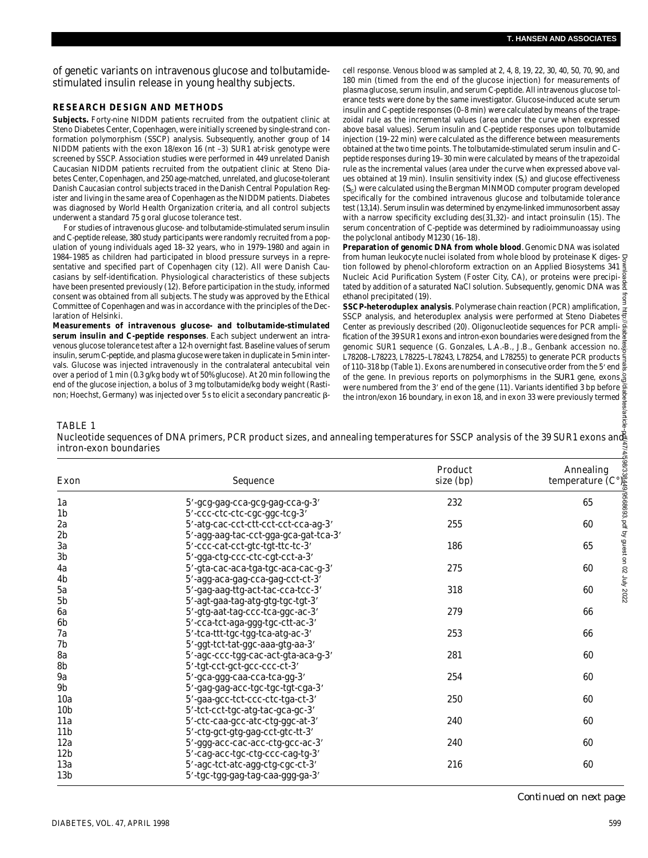of genetic variants on intravenous glucose and tolbutamidestimulated insulin release in young healthy subjects.

## **RESEARCH DESIGN AND METHODS**

Subjects. Forty-nine NIDDM patients recruited from the outpatient clinic at Steno Diabetes Center, Copenhagen, were initially screened by single-strand conformation polymorphism (SSCP) analysis. Subsequently, another group of 14 NIDDM patients with the exon 18/exon 16 (nt –3) SUR1 at-risk genotype were screened by SSCP. Association studies were performed in 449 unrelated Danish Caucasian NIDDM patients recruited from the outpatient clinic at Steno Diabetes Center, Copenhagen, and 250 age-matched, unrelated, and glucose-tolerant Danish Caucasian control subjects traced in the Danish Central Population Register and living in the same area of Copenhagen as the NIDDM patients. Diabetes was diagnosed by World Health Organization criteria, and all control subjects underwent a standard 75 g oral glucose tolerance test.

For studies of intravenous glucose- and tolbutamide-stimulated serum insulin and C-peptide release, 380 study participants were randomly recruited from a population of young individuals aged 18–32 years, who in 1979–1980 and again in 1984–1985 as children had participated in blood pressure surveys in a representative and specified part of Copenhagen city (12). All were Danish Caucasians by self-identification. Physiological characteristics of these subjects have been presented previously (12). Before participation in the study, informed consent was obtained from all subjects. The study was approved by the Ethical Committee of Copenhagen and was in accordance with the principles of the Declaration of Helsinki.

cell response. Venous blood was sampled at 2, 4, 8, 19, 22, 30, 40, 50, 70, 90, and 180 min (timed from the end of the glucose injection) for measurements of plasma glucose, serum insulin, and serum C-peptide. All intravenous glucose tolerance tests were done by the same investigator. Glucose-induced acute serum insulin and C-peptide responses (0–8 min) were calculated by means of the trapezoidal rule as the incremental values (area under the curve when expressed above basal values). Serum insulin and C-peptide responses upon tolbutamide injection (19–22 min) were calculated as the difference between measurements obtained at the two time points. The tolbutamide-stimulated serum insulin and Cpeptide responses during 19–30 min were calculated by means of the trapezoidal rule as the incremental values (area under the curve when expressed above values obtained at 19 min). Insulin sensitivity index  $(\mathcal{S}_{\mathsf{I}})$  and glucose effectiveness (*S*<sup>G</sup> ) were calculated using the Bergman MINMOD computer program developed specifically for the combined intravenous glucose and tolbutamide tolerance test (13,14). Serum insulin was determined by enzyme-linked immunosorbent assay with a narrow specificity excluding des(31,32)- and intact proinsulin (15). The serum concentration of C-peptide was determined by radioimmunoassay using the polyclonal antibody M1230 (16–18).

**Preparation of genomic DNA from whole blood***.* Genomic DNA was isolated from human leukocyte nuclei isolated from whole blood by proteinase K digestion followed by phenol-chloroform extraction on an Applied Biosystems 341 Nucleic Acid Purification System (Foster City, CA), or proteins were precipi- $\frac{5}{8}$ tated by addition of a saturated NaCl solution. Subsequently, genomic DNA was  $\frac{8}{2}$ ethanol precipitated (19).

#### TABLE 1

| aration of Helsinki.<br><b>TABLE 1</b><br>intron-exon boundaries | 1984–1985 as children had participated in blood pressure surveys in a repre-<br>sentative and specified part of Copenhagen city (12). All were Danish Cau-<br>casians by self-identification. Physiological characteristics of these subjects<br>have been presented previously (12). Before participation in the study, informed<br>consent was obtained from all subjects. The study was approved by the Ethical<br>Committee of Copenhagen and was in accordance with the principles of the Dec-<br>Measurements of intravenous glucose- and tolbutamide-stimulated<br>serum insulin and C-peptide responses. Each subject underwent an intra-<br>enous glucose tolerance test after a 12-h overnight fast. Baseline values of serum<br>nsulin, serum C-peptide, and plasma glucose were taken in duplicate in 5-min inter-<br>vals. Glucose was injected intravenously in the contralateral antecubital vein<br>over a period of 1 min (0.3 g/kg body wt of 50% glucose). At 20 min following the<br>end of the glucose injection, a bolus of 3 mg tolbutamide/kg body weight (Rasti-<br>hon; Hoechst, Germany) was injected over 5 s to elicit a secondary pancreatic β-<br>Nucleotide sequences of DNA primers, PCR product sizes, and annealing temperatures for SSCP analysis of the 39 SUR1 exons and | from human leukocyte nuclei isolated from whole blood by proteinase K diges-<br>tion followed by phenol-chloroform extraction on an Applied Biosystems 341<br>Nucleic Acid Purification System (Foster City, CA), or proteins were precipi- §<br>tated by addition of a saturated NaCI solution. Subsequently, genomic DNA was $\frac{8}{3}$<br>ethanol precipitated (19).<br>SSCP-heteroduplex analysis. Polymerase chain reaction (PCR) amplification,<br>SSCP analysis, and heteroduplex analysis were performed at Steno Diabetes<br>Center as previously described (20). Oligonucleotide sequences for PCR ampli-<br>fication of the 39 SUR1 exons and intron-exon boundaries were designed from the<br>genomic SUR1 sequence (G. Gonzales, L.A.-B., J.B., Genbank accession no. 4<br>L78208-L78223, L78225-L78243, L78254, and L78255) to generate PCR products<br>of 110–318 bp (Table 1). Exons are numbered in consecutive order from the 5' end<br>of the gene. In previous reports on polymorphisms in the <i>SUR1</i> gene, exons,<br>were numbered from the 3' end of the gene (11). Variants identified 3 bp before<br>the intron/exon 16 boundary, in exon 18, and in exon 33 were previously termed |                                             |
|------------------------------------------------------------------|----------------------------------------------------------------------------------------------------------------------------------------------------------------------------------------------------------------------------------------------------------------------------------------------------------------------------------------------------------------------------------------------------------------------------------------------------------------------------------------------------------------------------------------------------------------------------------------------------------------------------------------------------------------------------------------------------------------------------------------------------------------------------------------------------------------------------------------------------------------------------------------------------------------------------------------------------------------------------------------------------------------------------------------------------------------------------------------------------------------------------------------------------------------------------------------------------------------------------------------------------------------------------------------------------------------|---------------------------------------------------------------------------------------------------------------------------------------------------------------------------------------------------------------------------------------------------------------------------------------------------------------------------------------------------------------------------------------------------------------------------------------------------------------------------------------------------------------------------------------------------------------------------------------------------------------------------------------------------------------------------------------------------------------------------------------------------------------------------------------------------------------------------------------------------------------------------------------------------------------------------------------------------------------------------------------------------------------------------------------------------------------------------------------------------------------------------------------------------------------------------------------------------------------------|---------------------------------------------|
|                                                                  |                                                                                                                                                                                                                                                                                                                                                                                                                                                                                                                                                                                                                                                                                                                                                                                                                                                                                                                                                                                                                                                                                                                                                                                                                                                                                                                | Product                                                                                                                                                                                                                                                                                                                                                                                                                                                                                                                                                                                                                                                                                                                                                                                                                                                                                                                                                                                                                                                                                                                                                                                                             |                                             |
| Exon                                                             | Sequence                                                                                                                                                                                                                                                                                                                                                                                                                                                                                                                                                                                                                                                                                                                                                                                                                                                                                                                                                                                                                                                                                                                                                                                                                                                                                                       | size (bp)                                                                                                                                                                                                                                                                                                                                                                                                                                                                                                                                                                                                                                                                                                                                                                                                                                                                                                                                                                                                                                                                                                                                                                                                           | Annealing<br>temperature (C°)               |
| 1a                                                               | 5'-gcg-gag-cca-gcg-gag-cca-g-3'                                                                                                                                                                                                                                                                                                                                                                                                                                                                                                                                                                                                                                                                                                                                                                                                                                                                                                                                                                                                                                                                                                                                                                                                                                                                                | 232                                                                                                                                                                                                                                                                                                                                                                                                                                                                                                                                                                                                                                                                                                                                                                                                                                                                                                                                                                                                                                                                                                                                                                                                                 | 2568693, pdr by guest on 02 July 2022<br>65 |
| 1b                                                               | 5'-ccc-ctc-ctc-cgc-ggc-tcg-3'                                                                                                                                                                                                                                                                                                                                                                                                                                                                                                                                                                                                                                                                                                                                                                                                                                                                                                                                                                                                                                                                                                                                                                                                                                                                                  |                                                                                                                                                                                                                                                                                                                                                                                                                                                                                                                                                                                                                                                                                                                                                                                                                                                                                                                                                                                                                                                                                                                                                                                                                     |                                             |
| 2a                                                               | 5'-atg-cac-cct-ctt-cct-cct-cca-ag-3'                                                                                                                                                                                                                                                                                                                                                                                                                                                                                                                                                                                                                                                                                                                                                                                                                                                                                                                                                                                                                                                                                                                                                                                                                                                                           | 255                                                                                                                                                                                                                                                                                                                                                                                                                                                                                                                                                                                                                                                                                                                                                                                                                                                                                                                                                                                                                                                                                                                                                                                                                 | 60                                          |
| 2 <sub>b</sub>                                                   | 5'-agg-aag-tac-cct-gga-gca-gat-tca-3'                                                                                                                                                                                                                                                                                                                                                                                                                                                                                                                                                                                                                                                                                                                                                                                                                                                                                                                                                                                                                                                                                                                                                                                                                                                                          |                                                                                                                                                                                                                                                                                                                                                                                                                                                                                                                                                                                                                                                                                                                                                                                                                                                                                                                                                                                                                                                                                                                                                                                                                     |                                             |
| За                                                               | 5'-ccc-cat-cct-gtc-tgt-ttc-tc-3'                                                                                                                                                                                                                                                                                                                                                                                                                                                                                                                                                                                                                                                                                                                                                                                                                                                                                                                                                                                                                                                                                                                                                                                                                                                                               | 186                                                                                                                                                                                                                                                                                                                                                                                                                                                                                                                                                                                                                                                                                                                                                                                                                                                                                                                                                                                                                                                                                                                                                                                                                 | 65                                          |
| 3b                                                               | 5'-gga-ctg-ccc-ctc-cgt-cct-a-3'                                                                                                                                                                                                                                                                                                                                                                                                                                                                                                                                                                                                                                                                                                                                                                                                                                                                                                                                                                                                                                                                                                                                                                                                                                                                                |                                                                                                                                                                                                                                                                                                                                                                                                                                                                                                                                                                                                                                                                                                                                                                                                                                                                                                                                                                                                                                                                                                                                                                                                                     |                                             |
| 4a                                                               | 5'-gta-cac-aca-tga-tgc-aca-cac-g-3'                                                                                                                                                                                                                                                                                                                                                                                                                                                                                                                                                                                                                                                                                                                                                                                                                                                                                                                                                                                                                                                                                                                                                                                                                                                                            | 275                                                                                                                                                                                                                                                                                                                                                                                                                                                                                                                                                                                                                                                                                                                                                                                                                                                                                                                                                                                                                                                                                                                                                                                                                 | 60                                          |
| 4b                                                               | 5'-agg-aca-gag-cca-gag-cct-ct-3'                                                                                                                                                                                                                                                                                                                                                                                                                                                                                                                                                                                                                                                                                                                                                                                                                                                                                                                                                                                                                                                                                                                                                                                                                                                                               |                                                                                                                                                                                                                                                                                                                                                                                                                                                                                                                                                                                                                                                                                                                                                                                                                                                                                                                                                                                                                                                                                                                                                                                                                     |                                             |
| 5a                                                               | 5'-gag-aag-ttg-act-tac-cca-tcc-3'                                                                                                                                                                                                                                                                                                                                                                                                                                                                                                                                                                                                                                                                                                                                                                                                                                                                                                                                                                                                                                                                                                                                                                                                                                                                              | 318                                                                                                                                                                                                                                                                                                                                                                                                                                                                                                                                                                                                                                                                                                                                                                                                                                                                                                                                                                                                                                                                                                                                                                                                                 | 60                                          |
| 5b                                                               | 5'-agt-gaa-tag-atg-gtg-tgc-tgt-3'                                                                                                                                                                                                                                                                                                                                                                                                                                                                                                                                                                                                                                                                                                                                                                                                                                                                                                                                                                                                                                                                                                                                                                                                                                                                              |                                                                                                                                                                                                                                                                                                                                                                                                                                                                                                                                                                                                                                                                                                                                                                                                                                                                                                                                                                                                                                                                                                                                                                                                                     |                                             |
| 6a                                                               | 5'-gtg-aat-tag-ccc-tca-ggc-ac-3'                                                                                                                                                                                                                                                                                                                                                                                                                                                                                                                                                                                                                                                                                                                                                                                                                                                                                                                                                                                                                                                                                                                                                                                                                                                                               | 279                                                                                                                                                                                                                                                                                                                                                                                                                                                                                                                                                                                                                                                                                                                                                                                                                                                                                                                                                                                                                                                                                                                                                                                                                 | 66                                          |
| 6b                                                               | 5'-cca-tct-aga-ggg-tgc-ctt-ac-3'                                                                                                                                                                                                                                                                                                                                                                                                                                                                                                                                                                                                                                                                                                                                                                                                                                                                                                                                                                                                                                                                                                                                                                                                                                                                               |                                                                                                                                                                                                                                                                                                                                                                                                                                                                                                                                                                                                                                                                                                                                                                                                                                                                                                                                                                                                                                                                                                                                                                                                                     |                                             |
| 7a                                                               | 5'-tca-ttt-tgc-tgg-tca-atg-ac-3'                                                                                                                                                                                                                                                                                                                                                                                                                                                                                                                                                                                                                                                                                                                                                                                                                                                                                                                                                                                                                                                                                                                                                                                                                                                                               | 253                                                                                                                                                                                                                                                                                                                                                                                                                                                                                                                                                                                                                                                                                                                                                                                                                                                                                                                                                                                                                                                                                                                                                                                                                 | 66                                          |
| 7b                                                               | 5'-ggt-tct-tat-ggc-aaa-gtg-aa-3'                                                                                                                                                                                                                                                                                                                                                                                                                                                                                                                                                                                                                                                                                                                                                                                                                                                                                                                                                                                                                                                                                                                                                                                                                                                                               |                                                                                                                                                                                                                                                                                                                                                                                                                                                                                                                                                                                                                                                                                                                                                                                                                                                                                                                                                                                                                                                                                                                                                                                                                     |                                             |
| 8a                                                               | 5'-agc-ccc-tgg-cac-act-gta-aca-g-3'                                                                                                                                                                                                                                                                                                                                                                                                                                                                                                                                                                                                                                                                                                                                                                                                                                                                                                                                                                                                                                                                                                                                                                                                                                                                            | 281                                                                                                                                                                                                                                                                                                                                                                                                                                                                                                                                                                                                                                                                                                                                                                                                                                                                                                                                                                                                                                                                                                                                                                                                                 | 60                                          |
| 8b                                                               | 5′-tgt-cct-gct-gcc-ccc-ct-3′                                                                                                                                                                                                                                                                                                                                                                                                                                                                                                                                                                                                                                                                                                                                                                                                                                                                                                                                                                                                                                                                                                                                                                                                                                                                                   |                                                                                                                                                                                                                                                                                                                                                                                                                                                                                                                                                                                                                                                                                                                                                                                                                                                                                                                                                                                                                                                                                                                                                                                                                     |                                             |
| 9a                                                               | 5'-gca-ggg-caa-cca-tca-gg-3'                                                                                                                                                                                                                                                                                                                                                                                                                                                                                                                                                                                                                                                                                                                                                                                                                                                                                                                                                                                                                                                                                                                                                                                                                                                                                   | 254                                                                                                                                                                                                                                                                                                                                                                                                                                                                                                                                                                                                                                                                                                                                                                                                                                                                                                                                                                                                                                                                                                                                                                                                                 | 60                                          |
| 9b                                                               | 5′-gag-gag-acc-tgc-tgc-tgt-cga-3′                                                                                                                                                                                                                                                                                                                                                                                                                                                                                                                                                                                                                                                                                                                                                                                                                                                                                                                                                                                                                                                                                                                                                                                                                                                                              |                                                                                                                                                                                                                                                                                                                                                                                                                                                                                                                                                                                                                                                                                                                                                                                                                                                                                                                                                                                                                                                                                                                                                                                                                     |                                             |
| 10a                                                              | 5′-gaa-gcc-tct-ccc-ctc-tga-ct-3′                                                                                                                                                                                                                                                                                                                                                                                                                                                                                                                                                                                                                                                                                                                                                                                                                                                                                                                                                                                                                                                                                                                                                                                                                                                                               | 250                                                                                                                                                                                                                                                                                                                                                                                                                                                                                                                                                                                                                                                                                                                                                                                                                                                                                                                                                                                                                                                                                                                                                                                                                 | 60                                          |
| 10 <sub>b</sub>                                                  | 5′-tct-cct-tgc-atg-tac-gca-gc-3′                                                                                                                                                                                                                                                                                                                                                                                                                                                                                                                                                                                                                                                                                                                                                                                                                                                                                                                                                                                                                                                                                                                                                                                                                                                                               |                                                                                                                                                                                                                                                                                                                                                                                                                                                                                                                                                                                                                                                                                                                                                                                                                                                                                                                                                                                                                                                                                                                                                                                                                     |                                             |
| 11a                                                              | 5'-ctc-caa-gcc-atc-ctg-ggc-at-3'                                                                                                                                                                                                                                                                                                                                                                                                                                                                                                                                                                                                                                                                                                                                                                                                                                                                                                                                                                                                                                                                                                                                                                                                                                                                               | 240                                                                                                                                                                                                                                                                                                                                                                                                                                                                                                                                                                                                                                                                                                                                                                                                                                                                                                                                                                                                                                                                                                                                                                                                                 | 60                                          |
| 11b                                                              | 5'-ctg-gct-gtg-gag-cct-gtc-tt-3'                                                                                                                                                                                                                                                                                                                                                                                                                                                                                                                                                                                                                                                                                                                                                                                                                                                                                                                                                                                                                                                                                                                                                                                                                                                                               |                                                                                                                                                                                                                                                                                                                                                                                                                                                                                                                                                                                                                                                                                                                                                                                                                                                                                                                                                                                                                                                                                                                                                                                                                     |                                             |
|                                                                  |                                                                                                                                                                                                                                                                                                                                                                                                                                                                                                                                                                                                                                                                                                                                                                                                                                                                                                                                                                                                                                                                                                                                                                                                                                                                                                                | 240                                                                                                                                                                                                                                                                                                                                                                                                                                                                                                                                                                                                                                                                                                                                                                                                                                                                                                                                                                                                                                                                                                                                                                                                                 | 60                                          |
| 12a                                                              | 5'-ggg-acc-cac-acc-ctg-gcc-ac-3'                                                                                                                                                                                                                                                                                                                                                                                                                                                                                                                                                                                                                                                                                                                                                                                                                                                                                                                                                                                                                                                                                                                                                                                                                                                                               |                                                                                                                                                                                                                                                                                                                                                                                                                                                                                                                                                                                                                                                                                                                                                                                                                                                                                                                                                                                                                                                                                                                                                                                                                     |                                             |
| 12 <sub>b</sub>                                                  | 5'-cag-acc-tgc-ctg-ccc-cag-tg-3'                                                                                                                                                                                                                                                                                                                                                                                                                                                                                                                                                                                                                                                                                                                                                                                                                                                                                                                                                                                                                                                                                                                                                                                                                                                                               |                                                                                                                                                                                                                                                                                                                                                                                                                                                                                                                                                                                                                                                                                                                                                                                                                                                                                                                                                                                                                                                                                                                                                                                                                     |                                             |
| 13a<br>13 <sub>b</sub>                                           | 5'-agc-tct-atc-agg-ctg-cgc-ct-3'<br>5'-tgc-tgg-gag-tag-caa-ggg-ga-3'                                                                                                                                                                                                                                                                                                                                                                                                                                                                                                                                                                                                                                                                                                                                                                                                                                                                                                                                                                                                                                                                                                                                                                                                                                           | 216                                                                                                                                                                                                                                                                                                                                                                                                                                                                                                                                                                                                                                                                                                                                                                                                                                                                                                                                                                                                                                                                                                                                                                                                                 | 60                                          |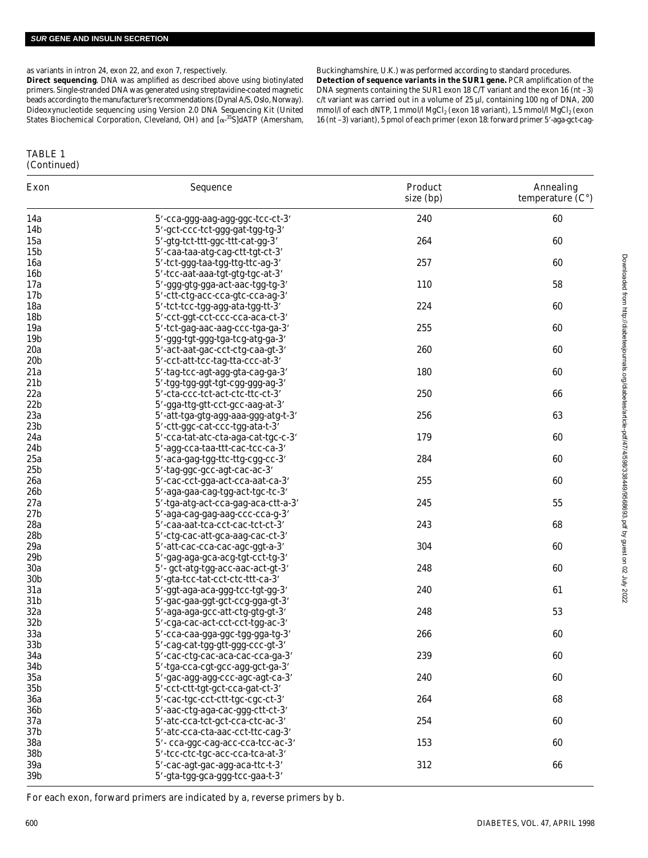as variants in intron 24, exon 22, and exon 7, respectively.

**Direct sequencing***.* DNA was amplified as described above using biotinylated primers. Single-stranded DNA was generated using streptavidine-coated magnetic beads according to the manufacturer's recommendations (Dynal A/S, Oslo, Norway). Dideoxynucleotide sequencing using Version 2.0 DNA Sequencing Kit (United States Biochemical Corporation, Cleveland, OH) and  $[\alpha^{-35}S]dATP$  (Amersham,

#### Buckinghamshire, U.K.) was performed according to standard procedures. **Detection of sequence variants in the** *SUR1* **gene.** PCR amplification of the DNA segments containing the SUR1 exon 18 C/T variant and the exon 16 (nt –3) c/t variant was carried out in a volume of 25 µl, containing 100 ng of DNA, 200 mmol/l of each dNTP, 1 mmol/l MgCl $_2$  (exon 18 variant), 1.5 mmol/l MgCl $_2$  (exon 16 (nt -3) variant), 5 pmol of each primer (exon 18: forward primer 5'-aga-gct-cag-

## TABLE 1 (Continued)

| Exon                   | Sequence                                                             | Product<br>size (bp) | Annealing<br>temperature $(C^{\circ})$ |
|------------------------|----------------------------------------------------------------------|----------------------|----------------------------------------|
| 14a                    | 5'-cca-ggg-aag-agg-ggc-tcc-ct-3'                                     | 240                  | 60                                     |
| 14 <sub>b</sub>        | 5'-gct-ccc-tct-ggg-gat-tgg-tg-3'                                     |                      |                                        |
| 15a                    | 5'-gtg-tct-ttt-ggc-ttt-cat-gg-3'                                     | 264                  | 60                                     |
| 15 <sub>b</sub>        | 5'-caa-taa-atg-cag-ctt-tgt-ct-3'                                     |                      |                                        |
| 16a                    | 5'-tct-ggg-taa-tgg-ttg-ttc-ag-3'                                     | 257                  | 60                                     |
| 16 <sub>b</sub>        | 5'-tcc-aat-aaa-tgt-gtg-tgc-at-3'                                     |                      |                                        |
| 17a                    | 5'-ggg-gtg-gga-act-aac-tgg-tg-3'                                     | 110                  | 58                                     |
| 17 <sub>b</sub>        | 5'-ctt-ctg-acc-cca-gtc-cca-ag-3'                                     |                      |                                        |
| 18a                    | 5'-tct-tcc-tgg-agg-ata-tgg-tt-3'                                     | 224                  | 60                                     |
| 18 <sub>b</sub>        | 5'-cct-ggt-cct-ccc-cca-aca-ct-3'                                     |                      |                                        |
| 19a                    | 5'-tct-gag-aac-aag-ccc-tga-ga-3'                                     | 255                  | 60                                     |
| 19b                    | 5'-ggg-tgt-ggg-tga-tcg-atg-ga-3'                                     |                      |                                        |
| 20a                    | 5'-act-aat-gac-cct-ctg-caa-gt-3'                                     | 260                  | 60                                     |
| 20 <sub>b</sub>        | 5'-cct-att-tcc-tag-tta-ccc-at-3'                                     |                      |                                        |
| 21a                    | 5'-tag-tcc-agt-agg-gta-cag-ga-3'                                     | 180                  | 60                                     |
| 21 <sub>b</sub>        | 5'-tgg-tgg-ggt-tgt-cgg-ggg-ag-3'                                     |                      |                                        |
| 22a                    | 5'-cta-ccc-tct-act-ctc-ttc-ct-3'                                     | 250                  | 66                                     |
| 22 <sub>b</sub>        | 5'-gga-ttg-gtt-cct-gcc-aag-at-3'                                     |                      |                                        |
| 23a                    | 5'-att-tga-gtg-agg-aaa-ggg-atg-t-3'                                  | 256                  | 63                                     |
| 23 <sub>b</sub>        | 5'-ctt-ggc-cat-ccc-tgg-ata-t-3'                                      |                      |                                        |
| 24a                    | 5'-cca-tat-atc-cta-aga-cat-tgc-c-3'                                  | 179                  | 60                                     |
| 24 <sub>b</sub>        | 5'-agg-cca-taa-ttt-cac-tcc-ca-3'                                     |                      |                                        |
| 25a                    | 5'-aca-gag-tgg-ttc-ttg-cgg-cc-3'                                     | 284                  | 60                                     |
| 25 <sub>b</sub>        | 5'-tag-ggc-gcc-agt-cac-ac-3'                                         |                      |                                        |
| 26a                    | 5'-cac-cct-gga-act-cca-aat-ca-3'                                     | 255                  | 60                                     |
| 26 <sub>b</sub>        | 5'-aga-gaa-cag-tgg-act-tgc-tc-3'                                     |                      |                                        |
| 27a                    | 5'-tga-atg-act-cca-gag-aca-ctt-a-3'                                  | 245                  | 55                                     |
| 27 <sub>b</sub>        | 5'-aga-cag-gag-aag-ccc-cca-g-3'                                      |                      |                                        |
| 28a                    | 5'-caa-aat-tca-cct-cac-tct-ct-3'                                     | 243                  | 68                                     |
| 28 <sub>b</sub>        | 5'-ctg-cac-att-gca-aag-cac-ct-3'                                     |                      |                                        |
| 29a                    | 5'-att-cac-cca-cac-agc-ggt-a-3'                                      | 304                  | 60                                     |
| 29 <sub>b</sub>        | 5'-gag-aga-gca-acg-tgt-cct-tg-3'                                     | 248                  |                                        |
| 30a<br>30 <sub>b</sub> | 5'-gct-atg-tgg-acc-aac-act-gt-3'                                     |                      | 60                                     |
| 31a                    | 5'-gta-tcc-tat-cct-ctc-ttt-ca-3'                                     | 240                  |                                        |
| 31 <sub>b</sub>        | 5'-ggt-aga-aca-ggg-tcc-tgt-gg-3'<br>5'-gac-gaa-ggt-gct-ccg-gga-gt-3' |                      | 61                                     |
| 32a                    | 5'-aga-aga-gcc-att-ctg-gtg-gt-3'                                     | 248                  | 53                                     |
| 32 <sub>b</sub>        | 5'-cga-cac-act-cct-cct-tgg-ac-3'                                     |                      |                                        |
| 33a                    | 5'-cca-caa-gga-ggc-tgg-gga-tg-3'                                     | 266                  | 60                                     |
| 33 <sub>b</sub>        | 5'-cag-cat-tgg-gtt-ggg-ccc-gt-3'                                     |                      |                                        |
| 34a                    | 5'-cac-ctg-cac-aca-cac-cca-ga-3'                                     | 239                  | 60                                     |
| 34 <sub>b</sub>        | 5'-tga-cca-cgt-gcc-agg-gct-ga-3'                                     |                      |                                        |
| 35a                    | 5'-gac-agg-agg-ccc-agc-agt-ca-3'                                     | 240                  | 60                                     |
| 35 <sub>b</sub>        | 5'-cct-ctt-tgt-gct-cca-gat-ct-3'                                     |                      |                                        |
| 36a                    | 5'-cac-tgc-cct-ctt-tgc-cgc-ct-3'                                     | 264                  | 68                                     |
| 36b                    | 5'-aac-ctg-aga-cac-ggg-ctt-ct-3'                                     |                      |                                        |
| 37a                    | 5'-atc-cca-tct-gct-cca-ctc-ac-3'                                     | 254                  | 60                                     |
| 37 <sub>b</sub>        | 5'-atc-cca-cta-aac-cct-ttc-cag-3'                                    |                      |                                        |
| 38a                    | 5'- cca-ggc-cag-acc-cca-tcc-ac-3'                                    | 153                  | 60                                     |
| 38b                    | 5'-tcc-ctc-tgc-acc-cca-tca-at-3'                                     |                      |                                        |
| 39a                    | 5'-cac-agt-gac-agg-aca-ttc-t-3'                                      | 312                  | 66                                     |
| 39b                    | 5'-gta-tgg-gca-ggg-tcc-gaa-t-3'                                      |                      |                                        |

Downloaded from http://diabetesjournals.org/diabetes/article-pdf/47/4/598/33849/9568693.pdf by guest on 02 July 2022 Downloaded from http://diabetesjournals.org/diabetes/article-pdf/47/4/598/338449/9568693.pdf by guest on 02 July 2022

For each exon, forward primers are indicated by a, reverse primers by b.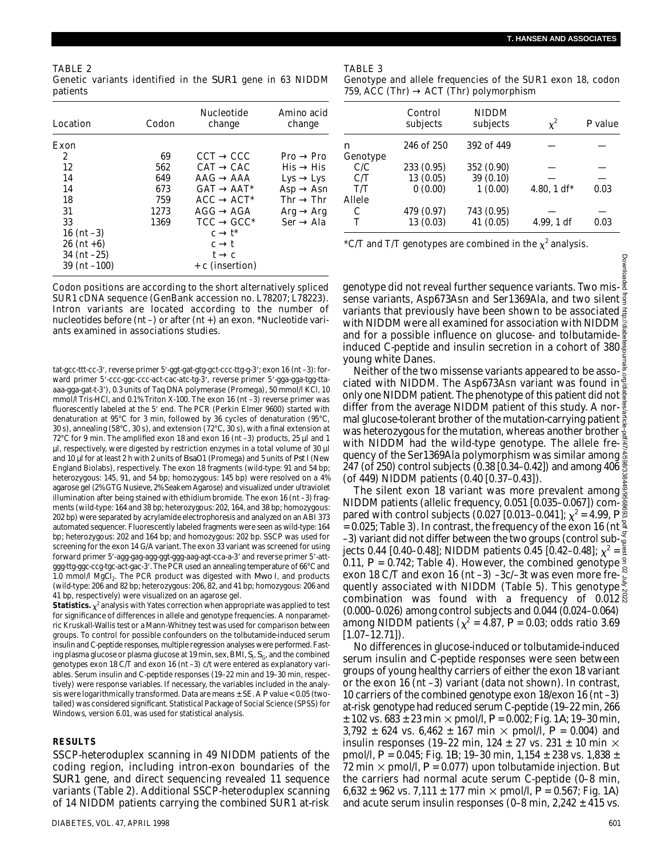Downloa

TABLE 2 Genetic variants identified in the *SUR1* gene in 63 NIDDM p at ients

| Location          | Codon |            | <b>Nucleotide</b><br>change | Amino acid<br>change |            |
|-------------------|-------|------------|-----------------------------|----------------------|------------|
| Exon              |       |            |                             |                      |            |
| 2                 | 69    | CCT        | CCC                         | Pro                  | Pro        |
| 12                | 562   | CAT        | CAC                         | His                  | <b>His</b> |
| 14                | 649   | AAG        | AAA                         | Lys                  | Lys        |
| 14                | 673   | GAT        | AAT*                        | Asp                  | Asn        |
| 18                | 759   | ACC        | $ACT*$                      | Thr                  | Thr        |
| 31                | 1273  | AGG        | AGA                         | Arq                  | Arg        |
| 33                | 1369  | <b>TCC</b> | $GCC^*$                     | Ser                  | Ala        |
| 16 (nt $-3$ )     |       | C          | t*                          |                      |            |
| $26$ (nt +6)      |       | C          |                             |                      |            |
| $34$ (nt $-25$ )  |       |            | C                           |                      |            |
| $39$ (nt $-100$ ) |       |            | + c (insertion)             |                      |            |

Codon positions are according to the short alternatively spliced SUR1 cDNA sequence (GenBank accession no. L78207; L78223). Intron variants are located according to the number of nucleotides before (nt –) or after (nt +) an exon. \*Nucleotide variants examined in associations studies.

tat-gcc-ttt-cc-3', reverse primer 5'-ggt-gat-gtg-gct-ccc-ttg-g-3'; exon 16 (nt -3): forward primer 5'-ccc-ggc-ccc-act-cac-atc-tg-3', reverse primer 5'-gga-gga-tgg-ttaaaa-gga-gat-t-3'), 0.3 units of Tag DNA polymerase (Promega), 50 mmol/l KCl, 10 mmol/l Tris-HCl, and 0.1% Triton X-100. The exon 16 (nt –3) reverse primer was fluorescently labeled at the 5' end. The PCR (Perkin Elmer 9600) started with denaturation at 95°C for 3 min, followed by 36 cycles of denaturation (95°C, 30 s), annealing (58°C, 30 s), and extension ( $72^{\circ}$ C, 30 s), with a final extension at 72°C for 9 min. The amplified exon 18 and exon 16 (nt –3) products, 25 µl and 1 µl, respectively, were digested by restriction enzymes in a total volume of 30 µl and 10 µl for at least 2 h with 2 units of *Bsa*O1 (Promega) and 5 units of *Pst* I (New England Biolabs), respectively. The exon 18 fragments (wild-type: 91 and 54 bp; heterozygous: 145, 91, and 54 bp; homozygous: 145 bp) were resolved on a 4% agarose gel (2% GTG Nusieve, 2% Seakem Agarose) and visualized under ultraviolet illumination after being stained with ethidium bromide. The exon 16 (nt –3) fragments (wild-type: 164 and 38 bp; heterozygous: 202, 164, and 38 bp; homozygous: 202 bp) were separated by acrylamide electrophoresis and analyzed on an ABI 373 automated sequencer. Fluorescently labeled fragments were seen as wild-type: 164 bp; heterozygous: 202 and 164 bp; and homozygous: 202 bp. SSCP was used for screening for the exon 14 G/A variant. The exon 33 variant was screened for using forward primer 5'-agg-gag-agg-ggt-ggg-aag-agt-cca-a-3' and reverse primer 5'-attggg-ttg-ggc-ccg-tgc-act-gac-3'. The PCR used an annealing temperature of 66°C and 1.0 mmol/l MgCl<sub>2</sub>. The PCR product was digested with *Mwo* I, and products (wild-type: 206 and 82 bp; heterozygous: 206, 82, and 41 bp; homozygous: 206 and 41 bp, respectively) were visualized on an agarose gel.

**Statistics.**  $\chi^2$  analysis with Yates correction when appropriate was applied to test for significance of differences in allele and genotype frequencies. A nonparametric Kruskall-Wallis test or a Mann-Whitney test was used for comparison between groups. To control for possible confounders on the tolbutamide-induced serum insulin and C-peptide responses, multiple regression analyses were performed. Fasting plasma glucose or plasma glucose at 19 min, sex, BMI,  $S_{\rm i}$ ,  $S_{\rm G}$ , and the combined genotypes exon 18 C/T and exon 16 (nt –3) c/t were entered as explanatory variables. Serum insulin and C-peptide responses (19–22 min and 19–30 min, respectively) were response variables. If necessary, the variables included in the analysis were logarithmically transformed. Data are means ± SE. A *P* value < 0.05 (twotailed) was considered significant. Statistical Package of Social Science (SPSS) for Windows, version 6.01, was used for statistical analysis.

#### **R E S U LT S**

SSCP-heteroduplex scanning in 49 NIDDM patients of the coding region, including intron-exon boundaries of the *SUR1* gene, and direct sequencing revealed 11 sequence variants (Table 2). Additional SSCP-heteroduplex scanning of 14 NIDDM patients carrying the combined SUR1 at-risk

#### TABLE 3

Genotype and allele frequencies of the SUR1 exon 18, codon 759, ACC (Thr) ACT (Thr) polymorphism

|          | Control<br>subjects | <b>NIDDM</b><br>subjects | $\chi^2$    | $P$ value |
|----------|---------------------|--------------------------|-------------|-----------|
| n        | 246 of 250          | 392 of 449               |             |           |
| Genotype |                     |                          |             |           |
| C/C      | 233 (0.95)          | 352 (0.90)               |             |           |
| C/T      | 13 (0.05)           | 39 (0.10)                |             |           |
| T/T      | 0(0.00)             | 1(0.00)                  | 4.80, 1 df* | 0.03      |
| Allele   |                     |                          |             |           |
| С        | 479 (0.97)          | 743 (0.95)               |             |           |
| т        | 13(0.03)            | 41 (0.05)                | 4.99, 1 df  | 0.03      |

\*C/T and T/T genotypes are combined in the  $\chi^2$  analysis.

genotype did not reveal further sequence variants. Two missense variants, Asp673Asn and Ser1369Ala, and two silent  $\frac{3}{5}$ variants that previously have been shown to be associated  $\frac{3}{2}$ with NIDDM were all examined for association with NIDDM and for a possible influence on glucose- and tolbutamideinduced C-peptide and insulin secretion in a cohort of  $380\frac{3}{2}$ young white Danes.

Neither of the two missense variants appeared to be associated with NIDDM. The Asp673Asn variant was found in only one NIDDM patient. The phenotype of this patient did not  $\frac{8}{8}$ differ from the average NIDDM patient of this study. A normal glucose-tolerant brother of the mutation-carrying patient  $\frac{3}{6}$ was heterozygous for the mutation, whereas another brother  $\frac{3}{2}$ with NIDDM had the wild-type genotype. The allele frequency of the Ser1369Ala polymorphism was similar among 247 (of 250) control subjects (0.38 [0.34–0.42]) and among 406  $\frac{8}{21}$ (of 449) NIDDM patients (0.40 [0.37–0.43]).

The silent exon 18 variant was more prevalent among NIDDM patients (allelic frequency, 0.051 [0.035–0.067]) compared with control subjects (0.027  $[0.013 - 0.041]$ ;  $\chi^2 = 4.99$ ,  $P_{\infty}^{\boxtimes}$ = 0.025; Table 3). In contrast, the frequency of the exon 16 (nt  $\frac{2}{5}$ –3) variant did not differ between the two groups (control subjects 0.44 [0.40–0.48]; NIDDM patients 0.45 [0.42–0.48];  $\chi^2 = \frac{3}{2}$ 0.11,  $P = 0.742$ ; Table 4). However, the combined genotype  $\frac{9}{2}$ exon 18 C/T and exon 16 (nt –3) –3c/–3t was even more fre- $\frac{8}{5}$ <br>experience more freequently associated with NIDDM (Table 5). This genotype combination was found with a frequency of  $0.012\frac{8}{8}$ (0.000–0.026) among control subjects and 0.044 (0.024–0.064) among NIDDM patients ( $\chi^2$  = 4.87, P = 0.03; odds ratio 3.69  $[1.07 - 12.71]$ . Downloaded from http://diabetesjournals.org/diabetes/article-pdf/47/4/598/338449/9568693.pdf by guest on 02 July 2022

No differences in glucose-induced or tolbutamide-induced serum insulin and C-peptide responses were seen between groups of young healthy carriers of either the exon 18 variant or the exon 16 (nt –3) variant (data not shown). In contrast, 10 carriers of the combined genotype exon 18/exon 16 (nt –3) at-risk genotype had reduced serum C-peptide (19–22 min, 266  $\pm$  102 vs. 683  $\pm$  23 min  $\times$  pmol/l,  $P$  = 0.002; Fig. 1*A*; 19–30 min, 3,792  $\pm$  624 vs. 6,462  $\pm$  167 min  $\times$  pmol/l,  $P$  = 0.004) and insulin responses (19–22 min, 124  $\pm$  27 vs. 231  $\pm$  10 min  $\times$ pmol/l, *P* = 0.045; Fig. 1*B*; 19–30 min, 1,154 ± 238 vs. 1,838 ± 72 min  $\times$  pmol/l,  $P$  = 0.077) upon tolbutamide injection. But the carriers had normal acute serum C-peptide (0–8 min, 6,632  $\pm$  962 vs. 7,111  $\pm$  177 min  $\times$  pmol/l, *P* = 0.567; Fig. 1*A*) and acute serum insulin responses (0–8 min,  $2,242 \pm 415$  vs.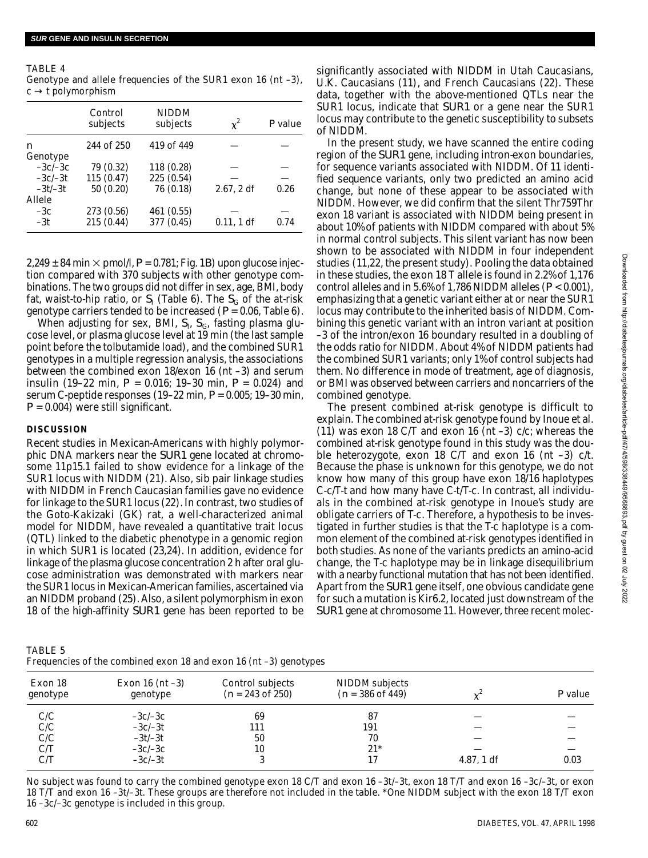| TABLE 4          |  |                                                                 |  |  |  |
|------------------|--|-----------------------------------------------------------------|--|--|--|
|                  |  | Genotype and allele frequencies of the SUR1 exon 16 (nt $-3$ ), |  |  |  |
| c t polymorphism |  |                                                                 |  |  |  |

|                     | Control<br>subjects      | <b>NIDDM</b><br>subjects | $x^2$      | $P$ value |
|---------------------|--------------------------|--------------------------|------------|-----------|
| n<br>Genotype       | 244 of 250               | 419 of 449               |            |           |
| $-3c/-3c$           | 79 (0.32)                | 118 (0.28)               |            |           |
| $-3c/-3t$           | 115(0.47)                | 225 (0.54)               |            |           |
| $-3t/-3t$<br>Allele | 50 (0.20)                | 76 (0.18)                | 2.67, 2 df | 0.26      |
| $-3c$<br>$-3t$      | 273 (0.56)<br>215 (0.44) | 461 (0.55)<br>377 (0.45) | 0.11, 1 df | 0.74      |
|                     |                          |                          |            |           |

 $2,249 \pm 84$  min  $\times$  pmol/l,  $P = 0.781$ ; Fig. 1*B*) upon glucose injection compared with 370 subjects with other genotype combinations. The two groups did not differ in sex, age, BMI, body fat, waist-to-hip ratio, or  $S_{\!\!\mathsf{I}}$  (Table 6). The  $S_{\!\mathsf{G}}$  of the at-risk genotype carriers tended to be increased (*P* = 0.06, Table 6).

When adjusting for sex, BMI, S<sub>I</sub>, S<sub>G</sub>, fasting plasma glucose level, or plasma glucose level at 19 min (the last sample point before the tolbutamide load), and the combined SUR1 genotypes in a multiple regression analysis, the associations between the combined exon 18/exon 16 (nt –3) and serum insulin (19–22 min, *P* = 0.016; 19–30 min, *P* = 0.024) and serum C-peptide responses (19–22 min, *P* = 0.005; 19–30 min,  $P = 0.004$ ) were still significant.

# **DISCUSSION**

Recent studies in Mexican-Americans with highly polymorphic DNA markers near the *SUR1* gene located at chromosome 11p15.1 failed to show evidence for a linkage of the SUR1 locus with NIDDM (21). Also, sib pair linkage studies with NIDDM in French Caucasian families gave no evidence for linkage to the SUR1 locus (22). In contrast, two studies of the Goto-Kakizaki (GK) rat, a well-characterized animal model for NIDDM, have revealed a quantitative trait locus (QTL) linked to the diabetic phenotype in a genomic region in which SUR1 is located (23,24). In addition, evidence for linkage of the plasma glucose concentration 2 h after oral glucose administration was demonstrated with markers near the SUR1 locus in Mexican-American families, ascertained via an NIDDM proband (25). Also, a silent polymorphism in exon 18 of the high-affinity *SUR1* gene has been reported to be

TABLE 5 Frequencies of the combined exon 18 and exon 16 (nt –3) genotypes

significantly associated with NIDDM in Utah Caucasians, U.K. Caucasians (11), and French Caucasians (22). These data, together with the above-mentioned QTLs near the SUR1 locus, indicate that *SUR1* or a gene near the SUR1 locus may contribute to the genetic susceptibility to subsets of NIDDM.

In the present study, we have scanned the entire coding region of the *SUR1* gene, including intron-exon boundaries, for sequence variants associated with NIDDM. Of 11 identified sequence variants, only two predicted an amino acid change, but none of these appear to be associated with NIDDM. However, we did confirm that the silent Thr759Thr exon 18 variant is associated with NIDDM being present in about 10% of patients with NIDDM compared with about 5% in normal control subjects. This silent variant has now been shown to be associated with NIDDM in four independent studies (11,22, the present study). Pooling the data obtained in these studies, the exon 18 T allele is found in 2.2% of 1,176 control alleles and in 5.6% of 1,786 NIDDM alleles (*P* < 0.001), emphasizing that a genetic variant either at or near the SUR1 locus may contribute to the inherited basis of NIDDM. Combining this genetic variant with an intron variant at position –3 of the intron/exon 16 boundary resulted in a doubling of the odds ratio for NIDDM. About 4% of NIDDM patients had the combined SUR1 variants; only 1% of control subjects had them. No difference in mode of treatment, age of diagnosis, or BMI was observed between carriers and noncarriers of the combined genotype.

The present combined at-risk genotype is difficult to explain. The combined at-risk genotype found by Inoue et al. (11) was exon 18 C/T and exon 16 (nt –3) c/c; whereas the combined at-risk genotype found in this study was the double heterozygote, exon 18 C/T and exon 16 (nt –3) c/t. Because the phase is unknown for this genotype, we do not know how many of this group have exon 18/16 haplotypes C-c/T-t and how many have C-t/T-c. In contrast, all individuals in the combined at-risk genotype in Inoue's study are obligate carriers of T-c. Therefore, a hypothesis to be investigated in further studies is that the T-c haplotype is a common element of the combined at-risk genotypes identified in both studies. As none of the variants predicts an amino-acid change, the T-c haplotype may be in linkage disequilibrium with a nearby functional mutation that has not been identified. Apart from the *SUR1* gene itself, one obvious candidate gene for such a mutation is Kir6.2, located just downstream of the *SUR1* gene at chromosome 11. However, three recent molec-

| Exon 18  | Exon $16$ (nt $-3$ ) | Control subjects   | NIDDM subjects              |            |           |
|----------|----------------------|--------------------|-----------------------------|------------|-----------|
| genotype | genotype             | $(n = 243$ of 250) | $(n = 386 \text{ of } 449)$ |            | $P$ value |
| C/C      | $-3c/-3c$            | 69                 | 87                          |            |           |
| C/C      | $-3c/-3t$            | 111                | 191                         |            |           |
| C/C      | $-3t/-3t$            | 50                 | 70                          |            |           |
| C/T      | $-3c/-3c$            | 10                 | $21*$                       |            |           |
| C/T      | $-3c/-3t$            |                    | 17                          | 4.87, 1 df | 0.03      |

No subject was found to carry the combined genotype exon 18 C/T and exon 16 –3t/–3t, exon 18 T/T and exon 16 –3c/–3t, or exon 18 T/T and exon 16 –3t/–3t. These groups are therefore not included in the table. \*One NIDDM subject with the exon 18 T/T exon 16 –3c/–3c genotype is included in this group.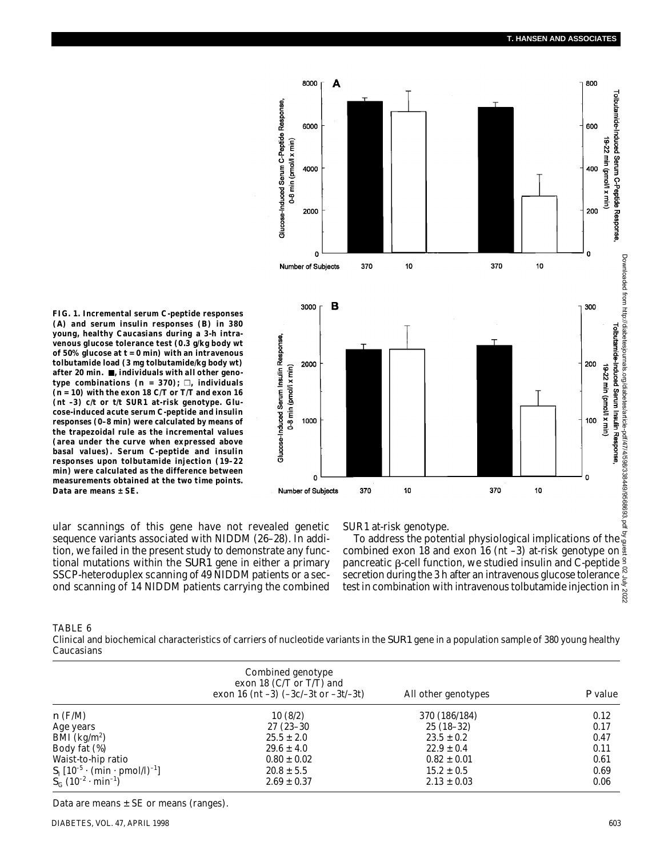

**FIG. 1. Incremental serum C-peptide responses (***A***) and serum insulin responses (***B***) in 380 young, healthy Caucasians during a 3-h intravenous glucose tolerance test (0.3 g/kg body wt of 50% glucose at** *t* **= 0 min) with an intravenous tolbutamide load (3 mg tolbutamide/kg body wt)** after 20 min.  $\blacksquare$ , individuals with all other genotype combinations  $(n = 370)$ ;  $\Box$ , individuals **(***n* **= 10) with the exon 18 C/T or T/T and exon 16 (nt –3) c/t or t/t SUR1 at-risk genotype. Glucose-induced acute serum C-peptide and insulin responses (0–8 min) were calculated by means of the trapezoidal rule as the incremental values (area under the curve when expressed above basal values). Serum C-peptide and insulin responses upon tolbutamide injection (19–22 min) were calculated as the difference between measurements obtained at the two time points. Data are means ± SE.**

ular scannings of this gene have not revealed genetic sequence variants associated with NIDDM (26–28). In addition, we failed in the present study to demonstrate any functional mutations within the *SUR1* gene in either a primary SSCP-heteroduplex scanning of 49 NIDDM patients or a second scanning of 14 NIDDM patients carrying the combined SUR1 at-risk genotype.

To address the potential physiological implications of the combined exon 18 and exon 16 (nt –3) at-risk genotype on pancreatic  $\beta$ -cell function, we studied insulin and C-peptide  $\frac{9}{2}$ secretion during the 3 h after an intravenous glucose tolerance test in combination with intravenous tolbutamide injection in

TABLE 6

Clinical and biochemical characteristics of carriers of nucleotide variants in the *SUR1* gene in a population sample of 380 young healthy Caucasians

|                                                          | Combined genotype<br>exon 18 (C/T or T/T) and<br>exon 16 (nt $-3$ ) ( $-3c/-3t$ or $-3t/-3t$ ) | All other genotypes | $P$ value |
|----------------------------------------------------------|------------------------------------------------------------------------------------------------|---------------------|-----------|
| $n$ (F/M)                                                | 10(8/2)                                                                                        | 370 (186/184)       | 0.12      |
| Age years                                                | $27(23-30)$                                                                                    | $25(18-32)$         | 0.17      |
| BMI ( $\text{kg/m}^2$ )                                  | $25.5 \pm 2.0$                                                                                 | $23.5 \pm 0.2$      | 0.47      |
| Body fat (%)                                             | $29.6 \pm 4.0$                                                                                 | $22.9 \pm 0.4$      | 0.11      |
| Waist-to-hip ratio                                       | $0.80 \pm 0.02$                                                                                | $0.82 \pm 0.01$     | 0.61      |
| $S_1$ [10 <sup>-5</sup> · (min · pmol/l) <sup>-1</sup> ] | $20.8 \pm 5.5$                                                                                 | $15.2 \pm 0.5$      | 0.69      |
| $S_c$ (10 <sup>-2</sup> · min <sup>-1</sup> )            | $2.69 \pm 0.37$                                                                                | $2.13 \pm 0.03$     | 0.06      |

Data are means  $\pm$  SE or means (ranges).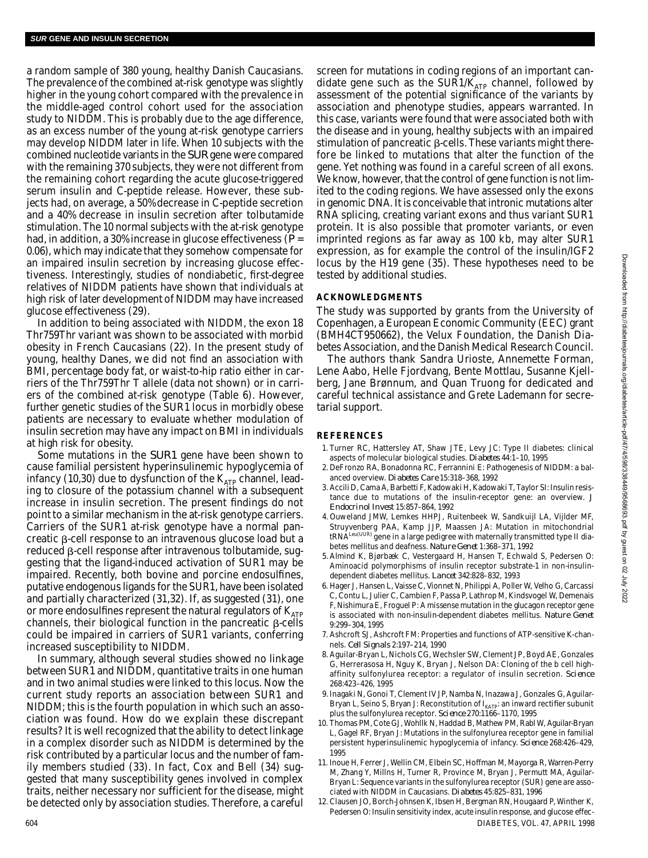a random sample of 380 young, healthy Danish Caucasians. The prevalence of the combined at-risk genotype was slightly higher in the young cohort compared with the prevalence in the middle-aged control cohort used for the association study to NIDDM. This is probably due to the age difference, as an excess number of the young at-risk genotype carriers may develop NIDDM later in life. When 10 subjects with the combined nucleotide variants in the *SUR* gene were compared with the remaining 370 subjects, they were not different from the remaining cohort regarding the acute glucose-triggered serum insulin and C-peptide release. However, these subjects had, on average, a 50% decrease in C-peptide secretion and a 40% decrease in insulin secretion after tolbutamide stimulation. The 10 normal subjects with the at-risk genotype had, in addition, a 30% increase in glucose effectiveness (*P* = 0.06), which may indicate that they somehow compensate for an impaired insulin secretion by increasing glucose effectiveness. Interestingly, studies of nondiabetic, first-degree relatives of NIDDM patients have shown that individuals at high risk of later development of NIDDM may have increased glucose effectiveness (29).

In addition to being associated with NIDDM, the exon 18 Thr759Thr variant was shown to be associated with morbid obesity in French Caucasians (22). In the present study of young, healthy Danes, we did not find an association with BMI, percentage body fat, or waist-to-hip ratio either in carriers of the Thr759Thr T allele (data not shown) or in carriers of the combined at-risk genotype (Table 6). However, further genetic studies of the SUR1 locus in morbidly obese patients are necessary to evaluate whether modulation of insulin secretion may have any impact on BMI in individuals at high risk for obesity.

Some mutations in the *SUR1* gene have been shown to cause familial persistent hyperinsulinemic hypoglycemia of infancy (10,30) due to dysfunction of the  $K_{ATP}$  channel, leading to closure of the potassium channel with a subsequent increase in insulin secretion. The present findings do not point to a similar mechanism in the at-risk genotype carriers. Carriers of the SUR1 at-risk genotype have a normal pan $c$ reatic  $\beta$ -cell response to an intravenous glucose load but a  $reduced \beta-cell$  response after intravenous tolbutamide, suggesting that the ligand-induced activation of SUR1 may be impaired. Recently, both bovine and porcine endosulfines, putative endogenous ligands for the SUR1, have been isolated and partially characterized (31,32). If, as suggested (31), one or more endosulfines represent the natural regulators of  $K_{\text{ATD}}$ channels, their biological function in the pancreatic  $\beta$ -cells could be impaired in carriers of SUR1 variants, conferring increased susceptibility to NIDDM.

In summary, although several studies showed no linkage between SUR1 and NIDDM, quantitative traits in one human and in two animal studies were linked to this locus. Now the current study reports an association between SUR1 and NIDDM; this is the fourth population in which such an association was found. How do we explain these discrepant results? It is well recognized that the ability to detect linkage in a complex disorder such as NIDDM is determined by the risk contributed by a particular locus and the number of family members studied (33). In fact, Cox and Bell (34) suggested that many susceptibility genes involved in complex traits, neither necessary nor sufficient for the disease, might be detected only by association studies. Therefore, a careful

screen for mutations in coding regions of an important candidate gene such as the SUR1/ $K_{ATP}$  channel, followed by assessment of the potential significance of the variants by association and phenotype studies, appears warranted. In this case, variants were found that were associated both with the disease and in young, healthy subjects with an impaired stimulation of pancreatic B-cells. These variants might therefore be linked to mutations that alter the function of the gene. Yet nothing was found in a careful screen of all exons. We know, however, that the control of gene function is not limited to the coding regions. We have assessed only the exons in genomic DNA. It is conceivable that intronic mutations alter RNA splicing, creating variant exons and thus variant SUR1 protein. It is also possible that promoter variants, or even imprinted regions as far away as 100 kb, may alter SUR1 expression, as for example the control of the insulin/IGF2 locus by the H19 gene (35). These hypotheses need to be tested by additional studies.

## **ACKNOWLEDGMENTS**

The study was supported by grants from the University of Copenhagen, a European Economic Community (EEC) grant (BMH4CT950662), the Velux Foundation, the Danish Diabetes Association, and the Danish Medical Research Council.

The authors thank Sandra Urioste, Annemette Forman, Lene Aabo, Helle Fjordvang, Bente Mottlau, Susanne Kjellberg, Jane Brønnum, and Quan Truong for dedicated and careful technical assistance and Grete Lademann for secretarial support.

### **R E F E R E N C E S**

- 1 . Turner RC, Hattersley AT, Shaw JTE, Levy JC: Type II diabetes: clinical aspects of molecular biological studies. *Diabetes* 44:1-10, 1995
- 2 . DeFronzo RA, Bonadonna RC, Ferrannini E: Pathogenesis of NIDDM: a balanced overview. *Diabetes Care* 15:318–368, 1992
- 3 . Accili D, Cama A, Barbetti F, Kadowaki H, Kadowaki T, Taylor SI: Insulin resistance due to mutations of the insulin-receptor gene: an overview. *J Endocrinol Invest* 15:857–864, 1992
- 4 . Ouweland JMW, Lemkes HHPJ, Ruitenbeek W, Sandkuijl LA, Vijlder MF, Struyvenberg PAA, Kamp JJP, Maassen JA: Mutation in mitochondrial  $t \mathsf{RNA}^\mathsf{Leu(UUR)}$  gene in a large pedigree with maternally transmitted type II diabetes mellitus and deafness. *Nature Genet* 1:368–371, 1992
- 5 . Almind K, Bjørbæk C, Vestergaard H, Hansen T, Echwald S, Pedersen O: Aminoacid polymorphisms of insulin receptor substrate-1 in non-insulindependent diabetes mellitus. *Lancet* 342:828-832, 1993
- 6 . Hager J, Hansen L, Vaisse C, Vionnet N, Philippi A, Poller W, Velho G, Carcassi C, Contu L, Julier C, Cambien F, Passa P, Lathrop M, Kindsvogel W, Demenais F, Nishimura E, Froguel P: A missense mutation in the glucagon receptor gene is associated with non-insulin-dependent diabetes mellitus. *Nature Genet* 9:299–304, 1995
- 7 . Ashcroft SJ, Ashcroft FM: Properties and functions of ATP-sensitive K-channels. *Cell Signals* 2:197–214, 1990
- 8. Aguilar-Bryan L, Nichols CG, Wechsler SW, Clement JP, Boyd AE, Gonzales G, Herrerasosa H, Nguy K, Bryan J, Nelson DA: Cloning of the b cell highaffinity sulfonylurea receptor: a regulator of insulin secretion. Science 268:423–426, 1995
- 9. Inagaki N, Gonoi T, Clement IV JP, Namba N, Inazawa J, Gonzales G, Aguilar-Bryan L, Seino S, Bryan J: Reconstitution of  $I_{KATP}$ : an inward rectifier subunit plus the sulfonylurea receptor. *Science* 270:1166-1170, 1995
- 10. Thomas PM, Cote GJ, Wohllk N, Haddad B, Mathew PM, Rabl W, Aguilar-Bryan L, Gagel RF, Bryan J: Mutations in the sulfonylurea receptor gene in familial persistent hyperinsulinemic hypoglycemia of infancy. *Science* 268:426-429, 1995
- 11. Inoue H, Ferrer J, Wellin CM, Elbein SC, Hoffman M, Mayorga R, Warren-Perry M, Zhang Y, Millns H, Turner R, Province M, Bryan J, Permutt MA, Aguilar-Bryan L: Sequence variants in the sulfonylurea receptor (SUR) gene are associated with NIDDM in Caucasians. *Diabetes* 45:825-831, 1996
- 604 DIABETES, VOL. 47, APRIL 1998 12. Clausen JO, Borch-Johnsen K, Ibsen H, Bergman RN, Hougaard P, Winther K, Pedersen O: Insulin sensitivity index, acute insulin response, and glucose effec-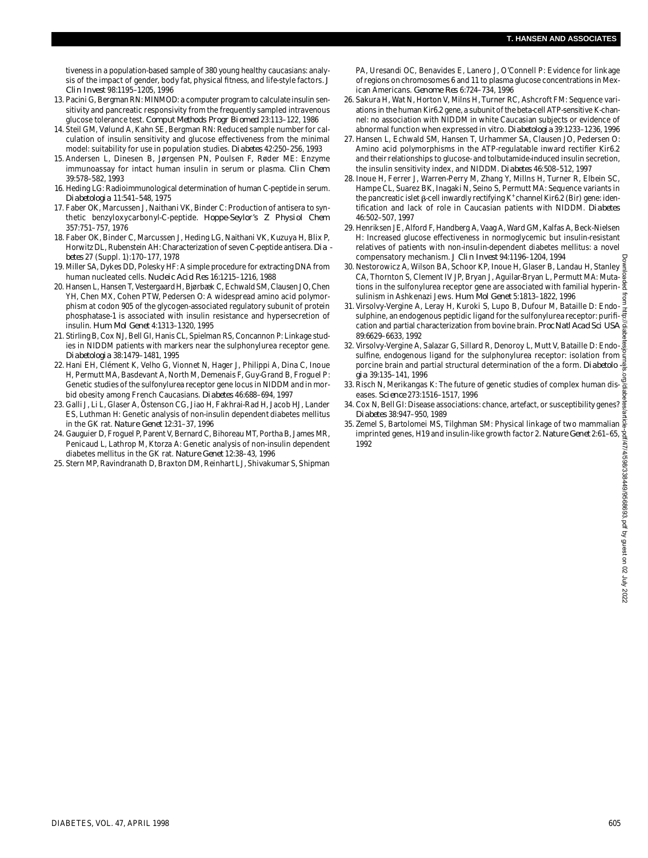tiveness in a population-based sample of 380 young healthy caucasians: analysis of the impact of gender, body fat, physical fitness, and life-style factors. *J Clin Invest* 98:1195–1205, 1996

- 13. Pacini G, Bergman RN: MINMOD: a computer program to calculate insulin sensitivity and pancreatic responsivity from the frequently sampled intravenous glucose tolerance test. *Comput Methods Progr Biomed* 23:113–122, 1986
- 14. Steil GM, Vølund A, Kahn SE, Bergman RN: Reduced sample number for calculation of insulin sensitivity and glucose effectiveness from the minimal model: suitability for use in population studies. *Diabetes* 42:250-256, 1993
- 15. Andersen L, Dinesen B, Jørgensen PN, Poulsen F, Røder ME: Enzyme immunoassay for intact human insulin in serum or plasma. *Clin Chem* 39:578–582, 1993
- 16. Heding LG: Radioimmunological determination of human C-peptide in serum. *D i a b e t o l o g i a* 11:541–548, 1975
- 17. Faber OK, Marcussen J, Naithani VK, Binder C: Production of antisera to synthetic benzyloxycarbonyl-C-peptide. Hoppe-Seylor's Z Physiol Chem 357:751–757, 1976
- 18. Faber OK, Binder C, Marcussen J, Heding LG, Naithani VK, Kuzuya H, Blix P, Horwitz DL, Rubenstein AH: Characterization of seven C-peptide antisera. *Dia b e t e s* 27 (Suppl. 1):170–177, 1978
- 19. Miller SA, Dykes DD, Polesky HF: A simple procedure for extracting DNA from human nucleated cells. *Nucleic Acid Res* 16:1215–1216, 1988
- 20. Hansen L, Hansen T, Vestergaard H, Bjørbæk C, Echwald SM, Clausen JO, Chen YH, Chen MX, Cohen PTW, Pedersen O: A widespread amino acid polymorphism at codon 905 of the glycogen-associated regulatory subunit of protein phosphatase-1 is associated with insulin resistance and hypersecretion of insulin. *Hum Mol Genet* 4:1313–1320, 1995
- 21. Stirling B, Cox NJ, Bell GI, Hanis CL, Spielman RS, Concannon P: Linkage studies in NIDDM patients with markers near the sulphonylurea receptor gene. *D i a b e t o l o g i a* 38:1479–1481, 1995
- 22. Hani EH, Clément K, Velho G, Vionnet N, Hager J, Philippi A, Dina C, Inoue H, Permutt MA, Basdevant A, North M, Demenais F, Guy-Grand B, Froguel P: Genetic studies of the sulfonylurea receptor gene locus in NIDDM and in morbid obesity among French Caucasians. *Diabetes* 46:688-694, 1997
- 2 3 . Galli J, Li L, Glaser A, Östenson CG, Jiao H, Fakhrai-Rad H, Jacob HJ, Lander ES, Luthman H: Genetic analysis of non-insulin dependent diabetes mellitus in the GK rat. *Nature Genet* 12:31–37, 1996
- 24. Gauguier D, Froguel P, Parent V, Bernard C, Bihoreau MT, Portha B, James MR, Penicaud L, Lathrop M, Ktorza A: Genetic analysis of non-insulin dependent diabetes mellitus in the GK rat. *Nature Genet* 12:38–43, 1996
- 25. Stern MP, Ravindranath D, Braxton DM, Reinhart LJ, Shivakumar S, Shipman

PA, Uresandi OC, Benavides E, Lanero J, O'Connell P: Evidence for linkage of regions on chromosomes 6 and 11 to plasma glucose concentrations in Mexican Americans. *Genome Res* 6:724–734, 1996

- 26. Sakura H, Wat N, Horton V, Milns H, Turner RC, Ashcroft FM: Sequence variations in the human Kir6.2 gene, a subunit of the beta-cell ATP-sensitive K-channel: no association with NIDDM in white Caucasian subjects or evidence of abnormal function when expressed in vitro. *Diabetologia* 39:1233-1236, 1996
- 27. Hansen L, Echwald SM, Hansen T, Urhammer SA, Clausen JO, Pedersen O: Amino acid polymorphisms in the ATP-regulatable inward rectifier Kir6.2 and their relationships to glucose- and tolbutamide-induced insulin secretion, the insulin sensitivity index, and NIDDM. *Diabetes* 46:508-512, 1997
- 28. Inoue H, Ferrer J, Warren-Perry M, Zhang Y, Millns H, Turner R, Elbein SC, Hampe CL, Suarez BK, Inagaki N, Seino S, Permutt MA: Sequence variants in the pancreatic islet  $\beta$ -cell inwardly rectifying K<sup>+</sup> channel Kir6.2 (Bir) gene: identification and lack of role in Caucasian patients with NIDDM. Diabetes 46:502–507, 1997
- 2 9 . Henriksen JE, Alford F, Handberg A, Vaag A, Ward GM, Kalfas A, Beck-Nielsen H: Increased glucose effectiveness in normoglycemic but insulin-resistant relatives of patients with non-insulin-dependent diabetes mellitus: a novel compensatory mechanism. *J Clin Invest* 94:1196–1204, 1994
- 30. Nestorowicz A, Wilson BA, Schoor KP, Inoue H, Glaser B, Landau H, Stanley § CA, Thornton S, Clement IV JP, Bryan J, Aguilar-Bryan L, Permutt MA: Muta- $\frac{3}{8}$ tions in the sulfonylurea receptor gene are associated with familial hyperinsulinism in Ashkenazi Jews. *Hum Mol Genet* 5:1813–1822, 1996
- 31. Virsolvy-Vergine A, Leray H, Kuroki S, Lupo B, Dufour M, Bataille D: Endosulphine, an endogenous peptidic ligand for the sulfonylurea receptor: purification and partial characterization from bovine brain. *Proc Natl Acad Sci USA* 89:6629–6633, 1992
- 32. Virsolvy-Vergine A, Salazar G, Sillard R, Denoroy L, Mutt V, Bataille D: Endosulfine, endogenous ligand for the sulphonylurea receptor: isolation from porcine brain and partial structural determination of the a form. *Diabetolo*  $\frac{3}{6}$ *g i a* 39:135–141, 1996
- 33. Risch N, Merikangas K: The future of genetic studies of complex human diseases. *Science* 273:1516-1517, 1996
- 34. Cox N, Bell GI: Disease associations: chance, artefact, or susceptibility genes? *D i a b e t e s* 38:947–950, 1989
- 35. Zemel S, Bartolomei MS, Tilghman SM: Physical linkage of two mammalian imprinted genes, H19 and insulin-like growth factor 2. *Nature Genet* 2:61–65, 1992